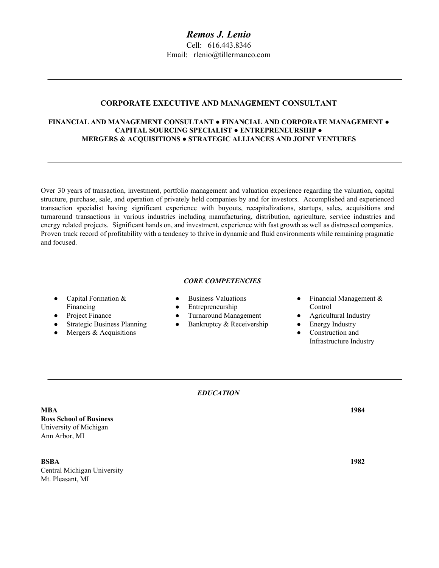# **CORPORATE EXECUTIVE AND MANAGEMENT CONSULTANT**

# **FINANCIAL AND MANAGEMENT CONSULTANT ● FINANCIAL AND CORPORATE MANAGEMENT ● CAPITAL SOURCING SPECIALIST ● ENTREPRENEURSHIP ● MERGERS & ACQUISITIONS ● STRATEGIC ALLIANCES AND JOINT VENTURES**

Over 30 years of transaction, investment, portfolio management and valuation experience regarding the valuation, capital structure, purchase, sale, and operation of privately held companies by and for investors. Accomplished and experienced transaction specialist having significant experience with buyouts, recapitalizations, startups, sales, acquisitions and turnaround transactions in various industries including manufacturing, distribution, agriculture, service industries and energy related projects. Significant hands on, and investment, experience with fast growth as well as distressed companies. Proven track record of profitability with a tendency to thrive in dynamic and fluid environments while remaining pragmatic and focused.

# *CORE COMPETENCIES*

- Capital Formation & Financing
- Project Finance
- Strategic Business Planning
- $\bullet$  Mergers & Acquisitions
- Business Valuations
- Entrepreneurship
- Turnaround Management
- Bankruptcy & Receivership
	-
- Financial Management & Control
- Agricultural Industry
- Energy Industry
- Construction and Infrastructure Industry

*EDUCATION*

**MBA 1984 Ross School of Business** University of Michigan Ann Arbor, MI

**BSBA 1982** Central Michigan University Mt. Pleasant, MI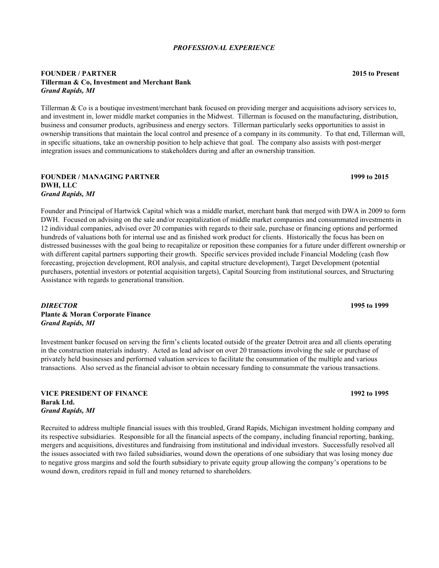#### *PROFESSIONAL EXPERIENCE*

## **FOUNDER / PARTNER 2015 to Present Tillerman & Co, Investment and Merchant Bank** *Grand Rapids, MI*

Tillerman & Co is a boutique investment/merchant bank focused on providing merger and acquisitions advisory services to, and investment in, lower middle market companies in the Midwest. Tillerman is focused on the manufacturing, distribution, business and consumer products, agribusiness and energy sectors. Tillerman particularly seeks opportunities to assist in ownership transitions that maintain the local control and presence of a company in its community. To that end, Tillerman will, in specific situations, take an ownership position to help achieve that goal. The company also assists with post-merger integration issues and communications to stakeholders during and after an ownership transition.

#### **FOUNDER / MANAGING PARTNER 1999 to 2015 DWH, LLC** *Grand Rapids, MI*

Founder and Principal of Hartwick Capital which was a middle market, merchant bank that merged with DWA in 2009 to form DWH. Focused on advising on the sale and/or recapitalization of middle market companies and consummated investments in 12 individual companies, advised over 20 companies with regards to their sale, purchase or financing options and performed hundreds of valuations both for internal use and as finished work product for clients. Historically the focus has been on distressed businesses with the goal being to recapitalize or reposition these companies for a future under different ownership or with different capital partners supporting their growth. Specific services provided include Financial Modeling (cash flow forecasting, projection development, ROI analysis, and capital structure development), Target Development (potential purchasers, potential investors or potential acquisition targets), Capital Sourcing from institutional sources, and Structuring Assistance with regards to generational transition.

*DIRECTOR* **1995 to 1999 Plante & Moran Corporate Finance** *Grand Rapids, MI*

Investment banker focused on serving the firm's clients located outside of the greater Detroit area and all clients operating in the construction materials industry. Acted as lead advisor on over 20 transactions involving the sale or purchase of privately held businesses and performed valuation services to facilitate the consummation of the multiple and various transactions. Also served as the financial advisor to obtain necessary funding to consummate the various transactions.

#### **VICE PRESIDENT OF FINANCE 1992 to 1995 Barak Ltd.** *Grand Rapids, MI*

Recruited to address multiple financial issues with this troubled, Grand Rapids, Michigan investment holding company and its respective subsidiaries. Responsible for all the financial aspects of the company, including financial reporting, banking, mergers and acquisitions, divestitures and fundraising from institutional and individual investors. Successfully resolved all the issues associated with two failed subsidiaries, wound down the operations of one subsidiary that was losing money due to negative gross margins and sold the fourth subsidiary to private equity group allowing the company's operations to be wound down, creditors repaid in full and money returned to shareholders.